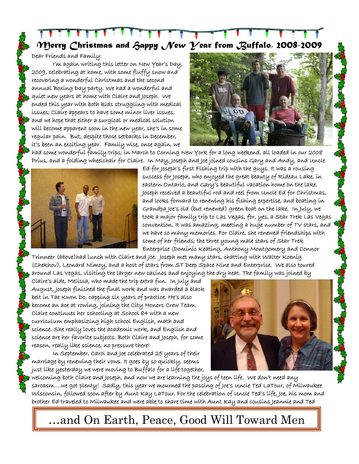*Merry Christmas and Happy New Year from Buffalo, 2008-2009* 

Dear Friends and Family:

I'm again writing this letter on New Year's Day, 2009, celebrating at home, with some fluffy snow and recovering a wonderful Christmas and the second annual Boxing Day party. We had a wonderful and quiet new years at home with Claire and Joseph. We ended this year with both kids struggling with medical issues; Claire appears to have some minor liver issues, and we hope that either a surgical or medical solution will become apparent soon in the new year, she's in some regular pain. But, despite those setbacks in December, it's been an exciting year. Family wise, once again, we



had some wonderful family trips; in March to Corning New York for a long weekend, all loaded in our 2008 Prius, and a folding wheelchair for Claire. In May, Joseph and Joe joined cousins Gary and Andy, and Uncle



Ed for Joseph's first Fishing trip with the guys. It was a rousing success for Joseph, who enjoyed the great beauty of Rideau Lake, in eastern Ontario, and Gary's beautiful vacation home on the lake. Joseph received a beautiful rod and reel from Uncle Ed for Christmas, and looks forward to renewing his fishing expertise, and boating in Grandpa Joe's old (but renewed) green boat on the lake. In July, we took a major family trip to Las Vegas, for, yes, a Star Trek Las Vegas convention. It was amazing, meeting a huge number of TV stars, and we have so many memories. For Claire, she renewed friendships with some of her friends; the three young male stars of Star Trek Enterprise (Dominic Keating, Anthony Montgomery and Connor

Trinneer (above)had lunch with Claire and Joe. Joseph met many stars, chatting with Walter Koenig (Chekhov), Leonard Nimoy, and a host of stars from ST Deep Space Nine and Enterprise. We also toured around Las Vegas, visiting the larger new casinos and enjoying the dry heat. The family was joined by

Claire's aide, Melissa, who made the trip extra fun. In July and August, Joseph finished the final work and was awarded a black belt in Tae Kwon Do, capping six years of practice. He's also become an ace at rowing, joining the City Honors Crew Team. Claire continues her schooling at School 84 with a new curriculum emphasizing high school English, math and science. She really loves the academic work, and English and science are her favorite subjects. Both Claire and Joseph, for some reason, really like science, no pressure there!

In September, Carol and Joe celebrated 25 years of their marriage by renewing their vows. It goes by so quickly, seems just like yesterday we were moving to Buffalo for a life together,



welcoming both Claire and Joseph, and now we are learning the joys of teen life. We don't need any sarcasm….we got plenty! Sadly, this year we mourned the passing of Joe's Uncle Ted LaTour, of Milwaukee Wisconsin, followed soon after by Aunt Kay LaTour. For the celebration of Uncle Ted's life, Joe, his mom and brother Ed traveled to Milwaukee and were able to share time with Aunt Kay and cousins Jeannie and Ted

…and On Earth, Peace, Good Will Toward Men